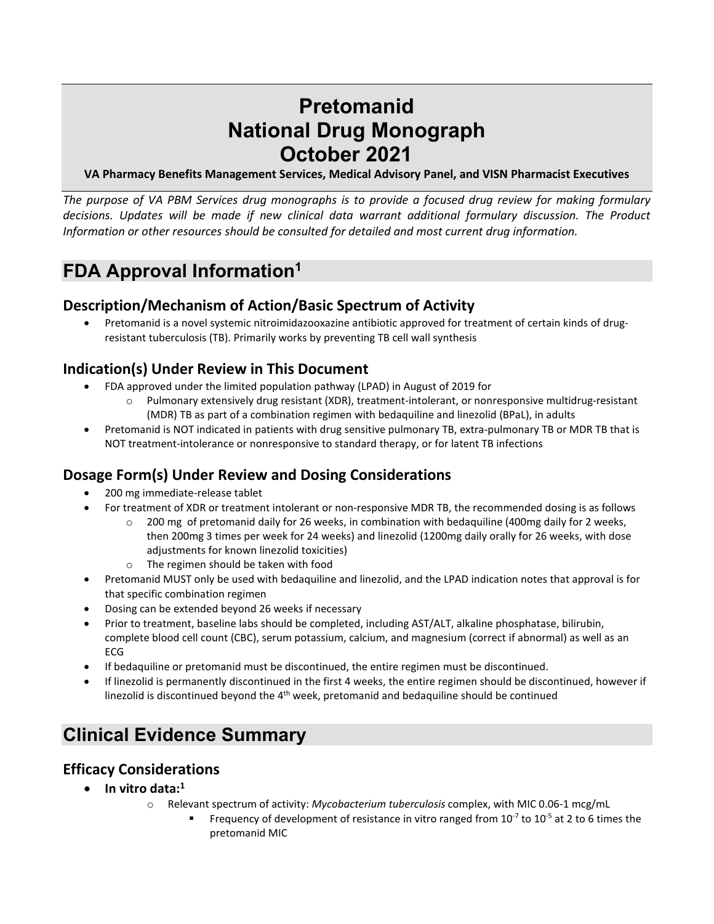# **Pretomanid National Drug Monograph October 2021**

**VA Pharmacy Benefits Management Services, Medical Advisory Panel, and VISN Pharmacist Executives**

*The purpose of VA PBM Services drug monographs is to provide a focused drug review for making formulary decisions. Updates will be made if new clinical data warrant additional formulary discussion. The Product Information or other resources should be consulted for detailed and most current drug information.*

# **FDA Approval Information1**

### **Description/Mechanism of Action/Basic Spectrum of Activity**

• Pretomanid is a novel systemic nitroimidazooxazine antibiotic approved for treatment of certain kinds of drugresistant tuberculosis (TB). Primarily works by preventing TB cell wall synthesis

### **Indication(s) Under Review in This Document**

- FDA approved under the limited population pathway (LPAD) in August of 2019 for
	- o Pulmonary extensively drug resistant (XDR), treatment-intolerant, or nonresponsive multidrug-resistant (MDR) TB as part of a combination regimen with bedaquiline and linezolid (BPaL), in adults
- Pretomanid is NOT indicated in patients with drug sensitive pulmonary TB, extra-pulmonary TB or MDR TB that is NOT treatment-intolerance or nonresponsive to standard therapy, or for latent TB infections

### **Dosage Form(s) Under Review and Dosing Considerations**

- 200 mg immediate-release tablet
- For treatment of XDR or treatment intolerant or non-responsive MDR TB, the recommended dosing is as follows
	- $\circ$  200 mg of pretomanid daily for 26 weeks, in combination with bedaquiline (400mg daily for 2 weeks, then 200mg 3 times per week for 24 weeks) and linezolid (1200mg daily orally for 26 weeks, with dose adjustments for known linezolid toxicities)
	- o The regimen should be taken with food
- Pretomanid MUST only be used with bedaquiline and linezolid, and the LPAD indication notes that approval is for that specific combination regimen
- Dosing can be extended beyond 26 weeks if necessary
- Prior to treatment, baseline labs should be completed, including AST/ALT, alkaline phosphatase, bilirubin, complete blood cell count (CBC), serum potassium, calcium, and magnesium (correct if abnormal) as well as an ECG
- If bedaquiline or pretomanid must be discontinued, the entire regimen must be discontinued.
- If linezolid is permanently discontinued in the first 4 weeks, the entire regimen should be discontinued, however if linezolid is discontinued beyond the  $4<sup>th</sup>$  week, pretomanid and bedaquiline should be continued

## **Clinical Evidence Summary**

#### **Efficacy Considerations**

- **In vitro data:1**
	- o Relevant spectrum of activity: *Mycobacterium tuberculosis* complex, with MIC 0.06-1 mcg/mL
		- Frequency of development of resistance in vitro ranged from  $10^{-7}$  to  $10^{-5}$  at 2 to 6 times the pretomanid MIC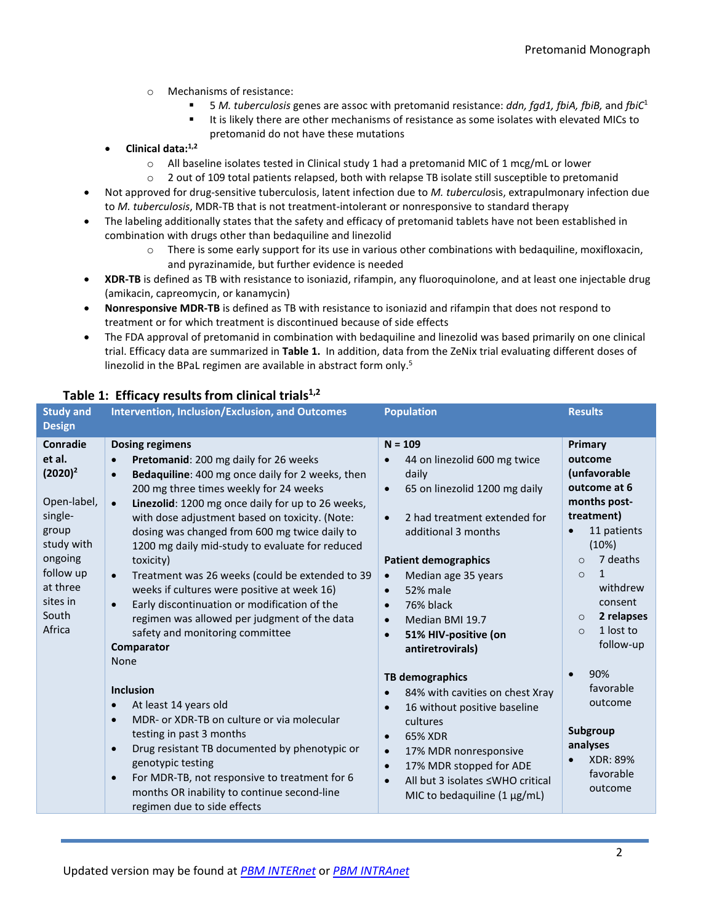- o Mechanisms of resistance:
	- 5 *M. tuberculosis* genes are assoc with pretomanid resistance: *ddn, fgd1, fbiA, fbiB,* and *fbiC*<sup>1</sup>
	- It is likely there are other mechanisms of resistance as some isolates with elevated MICs to pretomanid do not have these mutations
- **Clinical data:1,2**
	- $\circ$  All baseline isolates tested in Clinical study 1 had a pretomanid MIC of 1 mcg/mL or lower
	- o 2 out of 109 total patients relapsed, both with relapse TB isolate still susceptible to pretomanid
- Not approved for drug-sensitive tuberculosis, latent infection due to *M. tuberculo*sis, extrapulmonary infection due to *M. tuberculosis*, MDR-TB that is not treatment-intolerant or nonresponsive to standard therapy
- The labeling additionally states that the safety and efficacy of pretomanid tablets have not been established in combination with drugs other than bedaquiline and linezolid
	- o There is some early support for its use in various other combinations with bedaquiline, moxifloxacin, and pyrazinamide, but further evidence is needed
- **XDR-TB** is defined as TB with resistance to isoniazid, rifampin, any fluoroquinolone, and at least one injectable drug (amikacin, capreomycin, or kanamycin)
- **Nonresponsive MDR-TB** is defined as TB with resistance to isoniazid and rifampin that does not respond to treatment or for which treatment is discontinued because of side effects
- The FDA approval of pretomanid in combination with bedaquiline and linezolid was based primarily on one clinical trial. Efficacy data are summarized in **Table 1.** In addition, data from the ZeNix trial evaluating different doses of linezolid in the BPaL regimen are available in abstract form only.<sup>5</sup>

| <b>Study and</b><br><b>Design</b>                                                                                                                    | <b>Intervention, Inclusion/Exclusion, and Outcomes</b>                                                                                                                                                                                                                                                                                                                                                                                                                                                                                                                                                                                                                                                      | <b>Population</b>                                                                                                                                                                                                                                                                                                                                                                   | <b>Results</b>                                                                                                                                                                                                                          |
|------------------------------------------------------------------------------------------------------------------------------------------------------|-------------------------------------------------------------------------------------------------------------------------------------------------------------------------------------------------------------------------------------------------------------------------------------------------------------------------------------------------------------------------------------------------------------------------------------------------------------------------------------------------------------------------------------------------------------------------------------------------------------------------------------------------------------------------------------------------------------|-------------------------------------------------------------------------------------------------------------------------------------------------------------------------------------------------------------------------------------------------------------------------------------------------------------------------------------------------------------------------------------|-----------------------------------------------------------------------------------------------------------------------------------------------------------------------------------------------------------------------------------------|
| Conradie<br>et al.<br>$(2020)^2$<br>Open-label,<br>single-<br>group<br>study with<br>ongoing<br>follow up<br>at three<br>sites in<br>South<br>Africa | <b>Dosing regimens</b><br><b>Pretomanid:</b> 200 mg daily for 26 weeks<br>Bedaquiline: 400 mg once daily for 2 weeks, then<br>$\bullet$<br>200 mg three times weekly for 24 weeks<br>Linezolid: 1200 mg once daily for up to 26 weeks,<br>$\bullet$<br>with dose adjustment based on toxicity. (Note:<br>dosing was changed from 600 mg twice daily to<br>1200 mg daily mid-study to evaluate for reduced<br>toxicity)<br>Treatment was 26 weeks (could be extended to 39<br>$\bullet$<br>weeks if cultures were positive at week 16)<br>Early discontinuation or modification of the<br>$\bullet$<br>regimen was allowed per judgment of the data<br>safety and monitoring committee<br>Comparator<br>None | $N = 109$<br>44 on linezolid 600 mg twice<br>daily<br>65 on linezolid 1200 mg daily<br>$\bullet$<br>2 had treatment extended for<br>$\bullet$<br>additional 3 months<br><b>Patient demographics</b><br>Median age 35 years<br>$\bullet$<br>52% male<br>$\bullet$<br>76% black<br>$\bullet$<br>Median BMI 19.7<br>$\bullet$<br>51% HIV-positive (on<br>$\bullet$<br>antiretrovirals) | Primary<br>outcome<br>(unfavorable<br>outcome at 6<br>months post-<br>treatment)<br>11 patients<br>(10%)<br>7 deaths<br>$\Omega$<br>1<br>$\Omega$<br>withdrew<br>consent<br>2 relapses<br>$\circ$<br>1 lost to<br>$\Omega$<br>follow-up |
|                                                                                                                                                      | <b>Inclusion</b><br>At least 14 years old<br>MDR- or XDR-TB on culture or via molecular<br>$\bullet$<br>testing in past 3 months<br>Drug resistant TB documented by phenotypic or<br>$\bullet$<br>genotypic testing<br>For MDR-TB, not responsive to treatment for 6<br>$\bullet$<br>months OR inability to continue second-line<br>regimen due to side effects                                                                                                                                                                                                                                                                                                                                             | <b>TB demographics</b><br>84% with cavities on chest Xray<br>$\bullet$<br>16 without positive baseline<br>$\bullet$<br>cultures<br>65% XDR<br>$\bullet$<br>17% MDR nonresponsive<br>$\bullet$<br>17% MDR stopped for ADE<br>$\bullet$<br>All but 3 isolates ≤WHO critical<br>$\bullet$<br>MIC to bedaquiline $(1 \mu g/mL)$                                                         | 90%<br>$\bullet$<br>favorable<br>outcome<br>Subgroup<br>analyses<br><b>XDR: 89%</b><br>favorable<br>outcome                                                                                                                             |

#### Table 1: Efficacy results from clinical trials<sup>1,2</sup>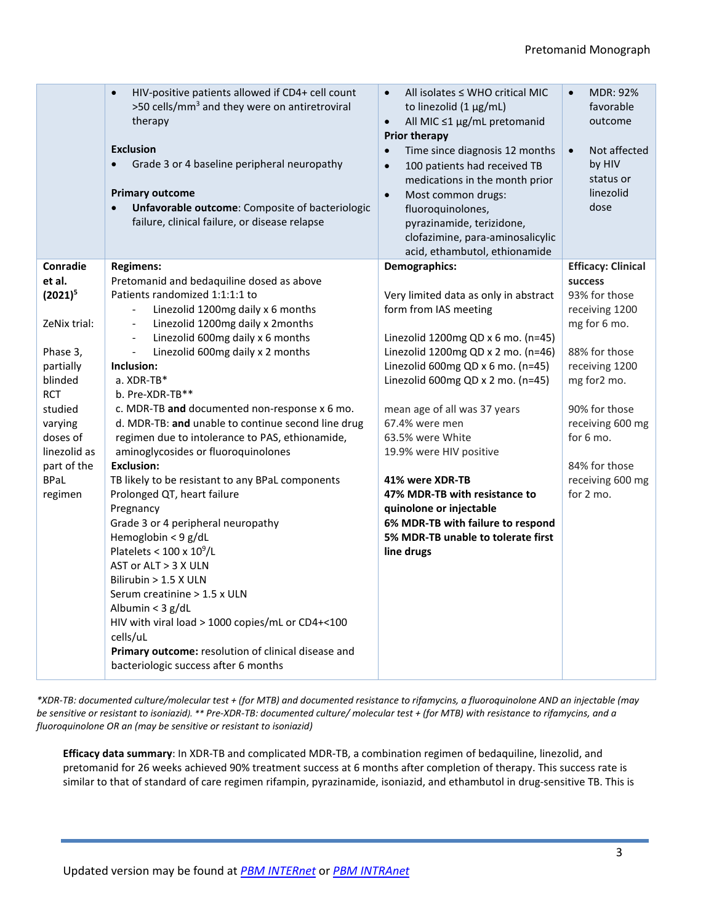|                        | HIV-positive patients allowed if CD4+ cell count<br>$\bullet$<br>>50 cells/mm <sup>3</sup> and they were on antiretroviral<br>therapy<br><b>Exclusion</b><br>Grade 3 or 4 baseline peripheral neuropathy<br>$\bullet$<br><b>Primary outcome</b><br>Unfavorable outcome: Composite of bacteriologic<br>failure, clinical failure, or disease relapse | All isolates $\leq$ WHO critical MIC<br>$\bullet$<br>to linezolid (1 µg/mL)<br>All MIC ≤1 µg/mL pretomanid<br>$\bullet$<br><b>Prior therapy</b><br>Time since diagnosis 12 months<br>$\bullet$<br>100 patients had received TB<br>$\bullet$<br>medications in the month prior<br>Most common drugs:<br>$\bullet$<br>fluoroquinolones,<br>pyrazinamide, terizidone,<br>clofazimine, para-aminosalicylic<br>acid, ethambutol, ethionamide | <b>MDR: 92%</b><br>$\bullet$<br>favorable<br>outcome<br>Not affected<br>$\bullet$<br>by HIV<br>status or<br>linezolid<br>dose |
|------------------------|-----------------------------------------------------------------------------------------------------------------------------------------------------------------------------------------------------------------------------------------------------------------------------------------------------------------------------------------------------|-----------------------------------------------------------------------------------------------------------------------------------------------------------------------------------------------------------------------------------------------------------------------------------------------------------------------------------------------------------------------------------------------------------------------------------------|-------------------------------------------------------------------------------------------------------------------------------|
| Conradie               | <b>Regimens:</b>                                                                                                                                                                                                                                                                                                                                    | Demographics:                                                                                                                                                                                                                                                                                                                                                                                                                           | <b>Efficacy: Clinical</b>                                                                                                     |
| et al.                 | Pretomanid and bedaquiline dosed as above                                                                                                                                                                                                                                                                                                           |                                                                                                                                                                                                                                                                                                                                                                                                                                         | success                                                                                                                       |
| $(2021)^5$             | Patients randomized 1:1:1:1 to                                                                                                                                                                                                                                                                                                                      | Very limited data as only in abstract                                                                                                                                                                                                                                                                                                                                                                                                   | 93% for those                                                                                                                 |
| ZeNix trial:           | Linezolid 1200mg daily x 6 months<br>$\qquad \qquad \blacksquare$                                                                                                                                                                                                                                                                                   | form from IAS meeting                                                                                                                                                                                                                                                                                                                                                                                                                   | receiving 1200                                                                                                                |
|                        | Linezolid 1200mg daily x 2months<br>$\qquad \qquad \blacksquare$<br>Linezolid 600mg daily x 6 months<br>$\frac{1}{2}$                                                                                                                                                                                                                               | Linezolid 1200mg QD x 6 mo. (n=45)                                                                                                                                                                                                                                                                                                                                                                                                      | mg for 6 mo.                                                                                                                  |
| Phase 3,               | Linezolid 600mg daily x 2 months<br>$\qquad \qquad \blacksquare$                                                                                                                                                                                                                                                                                    | Linezolid 1200mg QD x 2 mo. (n=46)                                                                                                                                                                                                                                                                                                                                                                                                      | 88% for those                                                                                                                 |
| partially              | Inclusion:                                                                                                                                                                                                                                                                                                                                          | Linezolid 600mg QD x 6 mo. (n=45)                                                                                                                                                                                                                                                                                                                                                                                                       | receiving 1200                                                                                                                |
| blinded                | a. XDR-TB*                                                                                                                                                                                                                                                                                                                                          | Linezolid 600mg QD x 2 mo. (n=45)                                                                                                                                                                                                                                                                                                                                                                                                       | mg for2 mo.                                                                                                                   |
| <b>RCT</b>             | b. Pre-XDR-TB**                                                                                                                                                                                                                                                                                                                                     |                                                                                                                                                                                                                                                                                                                                                                                                                                         |                                                                                                                               |
| studied                | c. MDR-TB and documented non-response x 6 mo.                                                                                                                                                                                                                                                                                                       | mean age of all was 37 years                                                                                                                                                                                                                                                                                                                                                                                                            | 90% for those                                                                                                                 |
| varying                | d. MDR-TB: and unable to continue second line drug                                                                                                                                                                                                                                                                                                  | 67.4% were men                                                                                                                                                                                                                                                                                                                                                                                                                          | receiving 600 mg                                                                                                              |
| doses of               | regimen due to intolerance to PAS, ethionamide,                                                                                                                                                                                                                                                                                                     | 63.5% were White                                                                                                                                                                                                                                                                                                                                                                                                                        | for $6$ mo.                                                                                                                   |
| linezolid as           | aminoglycosides or fluoroquinolones                                                                                                                                                                                                                                                                                                                 | 19.9% were HIV positive                                                                                                                                                                                                                                                                                                                                                                                                                 |                                                                                                                               |
| part of the            | <b>Exclusion:</b>                                                                                                                                                                                                                                                                                                                                   |                                                                                                                                                                                                                                                                                                                                                                                                                                         | 84% for those                                                                                                                 |
| <b>BPaL</b><br>regimen | TB likely to be resistant to any BPaL components<br>Prolonged QT, heart failure                                                                                                                                                                                                                                                                     | 41% were XDR-TB<br>47% MDR-TB with resistance to                                                                                                                                                                                                                                                                                                                                                                                        | receiving 600 mg<br>for 2 mo.                                                                                                 |
|                        | Pregnancy                                                                                                                                                                                                                                                                                                                                           | quinolone or injectable                                                                                                                                                                                                                                                                                                                                                                                                                 |                                                                                                                               |
|                        | Grade 3 or 4 peripheral neuropathy                                                                                                                                                                                                                                                                                                                  | 6% MDR-TB with failure to respond                                                                                                                                                                                                                                                                                                                                                                                                       |                                                                                                                               |
|                        | Hemoglobin < 9 g/dL                                                                                                                                                                                                                                                                                                                                 | 5% MDR-TB unable to tolerate first                                                                                                                                                                                                                                                                                                                                                                                                      |                                                                                                                               |
|                        | Platelets < $100 \times 10^9$ /L                                                                                                                                                                                                                                                                                                                    | line drugs                                                                                                                                                                                                                                                                                                                                                                                                                              |                                                                                                                               |
|                        | AST or ALT > 3 X ULN                                                                                                                                                                                                                                                                                                                                |                                                                                                                                                                                                                                                                                                                                                                                                                                         |                                                                                                                               |
|                        | Bilirubin $> 1.5$ X ULN                                                                                                                                                                                                                                                                                                                             |                                                                                                                                                                                                                                                                                                                                                                                                                                         |                                                                                                                               |
|                        | Serum creatinine > 1.5 x ULN                                                                                                                                                                                                                                                                                                                        |                                                                                                                                                                                                                                                                                                                                                                                                                                         |                                                                                                                               |
|                        | Albumin < 3 g/dL                                                                                                                                                                                                                                                                                                                                    |                                                                                                                                                                                                                                                                                                                                                                                                                                         |                                                                                                                               |
|                        | HIV with viral load > 1000 copies/mL or CD4+<100<br>cells/uL                                                                                                                                                                                                                                                                                        |                                                                                                                                                                                                                                                                                                                                                                                                                                         |                                                                                                                               |
|                        | Primary outcome: resolution of clinical disease and<br>bacteriologic success after 6 months                                                                                                                                                                                                                                                         |                                                                                                                                                                                                                                                                                                                                                                                                                                         |                                                                                                                               |
|                        |                                                                                                                                                                                                                                                                                                                                                     |                                                                                                                                                                                                                                                                                                                                                                                                                                         |                                                                                                                               |

*\*XDR-TB: documented culture/molecular test + (for MTB) and documented resistance to rifamycins, a fluoroquinolone AND an injectable (may be sensitive or resistant to isoniazid). \*\* Pre-XDR-TB: documented culture/ molecular test + (for MTB) with resistance to rifamycins, and a fluoroquinolone OR an (may be sensitive or resistant to isoniazid)*

**Efficacy data summary**: In XDR-TB and complicated MDR-TB, a combination regimen of bedaquiline, linezolid, and pretomanid for 26 weeks achieved 90% treatment success at 6 months after completion of therapy. This success rate is similar to that of standard of care regimen rifampin, pyrazinamide, isoniazid, and ethambutol in drug-sensitive TB. This is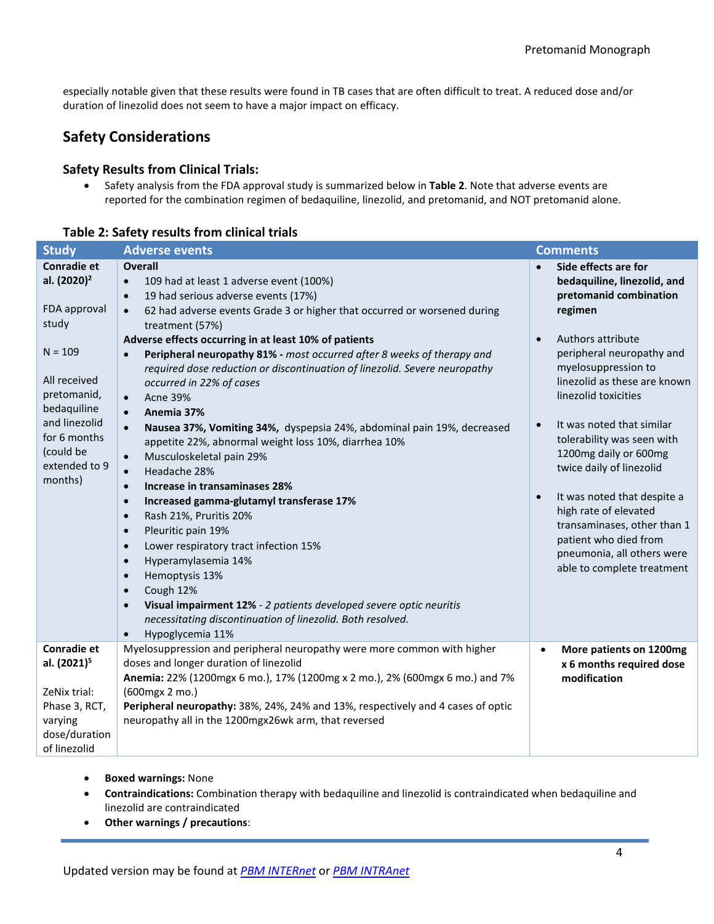especially notable given that these results were found in TB cases that are often difficult to treat. A reduced dose and/or duration of linezolid does not seem to have a major impact on efficacy.

### **Safety Considerations**

#### **Safety Results from Clinical Trials:**

• Safety analysis from the FDA approval study is summarized below in **Table 2**. Note that adverse events are reported for the combination regimen of bedaquiline, linezolid, and pretomanid, and NOT pretomanid alone.

#### **Table 2: Safety results from clinical trials**

| <b>Study</b>                                                                                                                                                                                                | <b>Adverse events</b>                                                                                                                                                                                                                                                                                                                                                                                                                                                                                                                                                                                                                                                                                                                                                                                                                                                                                                                                                                                                                                                                                                                                                                                                                                                                                  | <b>Comments</b>                                                                                                                                                                                                                                                                                                                                                                                                                                                                                                                                                           |
|-------------------------------------------------------------------------------------------------------------------------------------------------------------------------------------------------------------|--------------------------------------------------------------------------------------------------------------------------------------------------------------------------------------------------------------------------------------------------------------------------------------------------------------------------------------------------------------------------------------------------------------------------------------------------------------------------------------------------------------------------------------------------------------------------------------------------------------------------------------------------------------------------------------------------------------------------------------------------------------------------------------------------------------------------------------------------------------------------------------------------------------------------------------------------------------------------------------------------------------------------------------------------------------------------------------------------------------------------------------------------------------------------------------------------------------------------------------------------------------------------------------------------------|---------------------------------------------------------------------------------------------------------------------------------------------------------------------------------------------------------------------------------------------------------------------------------------------------------------------------------------------------------------------------------------------------------------------------------------------------------------------------------------------------------------------------------------------------------------------------|
| <b>Conradie et</b><br>al. (2020) <sup>2</sup><br>FDA approval<br>study<br>$N = 109$<br>All received<br>pretomanid,<br>bedaquiline<br>and linezolid<br>for 6 months<br>(could be<br>extended to 9<br>months) | <b>Overall</b><br>109 had at least 1 adverse event (100%)<br>$\bullet$<br>19 had serious adverse events (17%)<br>$\bullet$<br>62 had adverse events Grade 3 or higher that occurred or worsened during<br>$\bullet$<br>treatment (57%)<br>Adverse effects occurring in at least 10% of patients<br>Peripheral neuropathy 81% - most occurred after 8 weeks of therapy and<br>$\bullet$<br>required dose reduction or discontinuation of linezolid. Severe neuropathy<br>occurred in 22% of cases<br><b>Acne 39%</b><br>$\bullet$<br>Anemia 37%<br>$\bullet$<br>Nausea 37%, Vomiting 34%, dyspepsia 24%, abdominal pain 19%, decreased<br>$\bullet$<br>appetite 22%, abnormal weight loss 10%, diarrhea 10%<br>Musculoskeletal pain 29%<br>$\bullet$<br>Headache 28%<br>$\bullet$<br>Increase in transaminases 28%<br>$\bullet$<br>Increased gamma-glutamyl transferase 17%<br>$\bullet$<br>Rash 21%, Pruritis 20%<br>$\bullet$<br>Pleuritic pain 19%<br>$\bullet$<br>Lower respiratory tract infection 15%<br>$\bullet$<br>Hyperamylasemia 14%<br>$\bullet$<br>Hemoptysis 13%<br>$\bullet$<br>Cough 12%<br>$\bullet$<br>Visual impairment 12% - 2 patients developed severe optic neuritis<br>$\bullet$<br>necessitating discontinuation of linezolid. Both resolved.<br>Hypoglycemia 11%<br>$\bullet$ | Side effects are for<br>$\bullet$<br>bedaquiline, linezolid, and<br>pretomanid combination<br>regimen<br>Authors attribute<br>$\bullet$<br>peripheral neuropathy and<br>myelosuppression to<br>linezolid as these are known<br>linezolid toxicities<br>It was noted that similar<br>$\bullet$<br>tolerability was seen with<br>1200mg daily or 600mg<br>twice daily of linezolid<br>It was noted that despite a<br>$\bullet$<br>high rate of elevated<br>transaminases, other than 1<br>patient who died from<br>pneumonia, all others were<br>able to complete treatment |
| Conradie et<br>al. (2021) <sup>5</sup>                                                                                                                                                                      | Myelosuppression and peripheral neuropathy were more common with higher<br>doses and longer duration of linezolid<br>Anemia: 22% (1200mgx 6 mo.), 17% (1200mg x 2 mo.), 2% (600mgx 6 mo.) and 7%                                                                                                                                                                                                                                                                                                                                                                                                                                                                                                                                                                                                                                                                                                                                                                                                                                                                                                                                                                                                                                                                                                       | More patients on 1200mg<br>$\bullet$<br>x 6 months required dose<br>modification                                                                                                                                                                                                                                                                                                                                                                                                                                                                                          |
| ZeNix trial:<br>Phase 3, RCT,<br>varying<br>dose/duration<br>of linezolid                                                                                                                                   | (600mgx 2 mo.)<br>Peripheral neuropathy: 38%, 24%, 24% and 13%, respectively and 4 cases of optic<br>neuropathy all in the 1200mgx26wk arm, that reversed                                                                                                                                                                                                                                                                                                                                                                                                                                                                                                                                                                                                                                                                                                                                                                                                                                                                                                                                                                                                                                                                                                                                              |                                                                                                                                                                                                                                                                                                                                                                                                                                                                                                                                                                           |

- **Boxed warnings:** None
- **Contraindications:** Combination therapy with bedaquiline and linezolid is contraindicated when bedaquiline and linezolid are contraindicated
- **Other warnings / precautions**: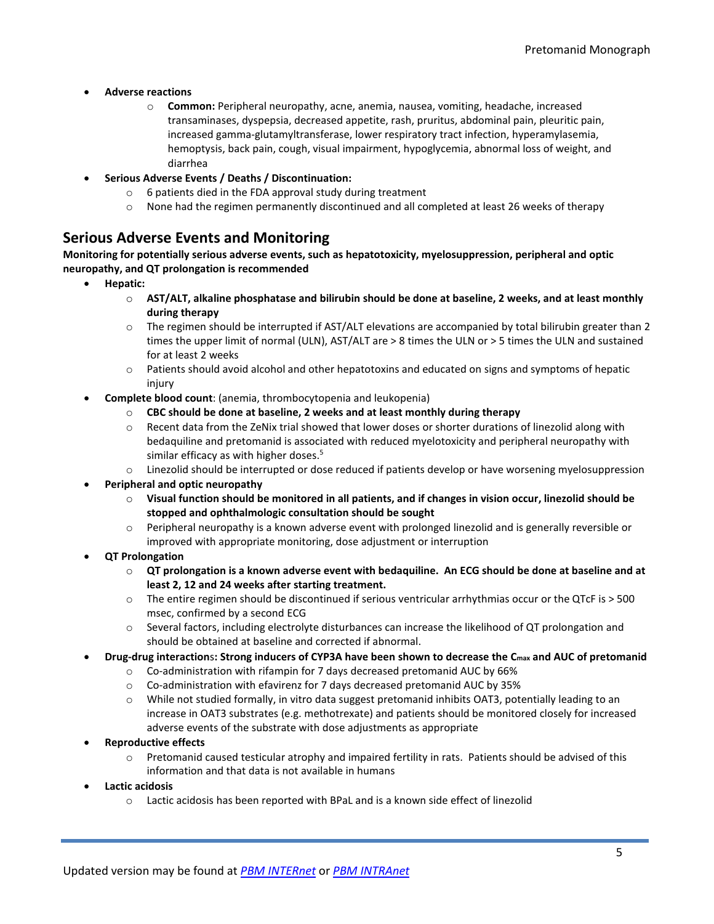- **Adverse reactions**
	- o **Common:** Peripheral neuropathy, acne, anemia, nausea, vomiting, headache, increased transaminases, dyspepsia, decreased appetite, rash, pruritus, abdominal pain, pleuritic pain, increased gamma-glutamyltransferase, lower respiratory tract infection, hyperamylasemia, hemoptysis, back pain, cough, visual impairment, hypoglycemia, abnormal loss of weight, and diarrhea
- **Serious Adverse Events / Deaths / Discontinuation:**
	- o 6 patients died in the FDA approval study during treatment
	- $\circ$  None had the regimen permanently discontinued and all completed at least 26 weeks of therapy

#### **Serious Adverse Events and Monitoring**

**Monitoring for potentially serious adverse events, such as hepatotoxicity, myelosuppression, peripheral and optic neuropathy, and QT prolongation is recommended**

- **Hepatic:** 
	- o **AST/ALT, alkaline phosphatase and bilirubin should be done at baseline, 2 weeks, and at least monthly during therapy**
	- o The regimen should be interrupted if AST/ALT elevations are accompanied by total bilirubin greater than 2 times the upper limit of normal (ULN), AST/ALT are > 8 times the ULN or > 5 times the ULN and sustained for at least 2 weeks
	- $\circ$  Patients should avoid alcohol and other hepatotoxins and educated on signs and symptoms of hepatic injury
- **Complete blood count**: (anemia, thrombocytopenia and leukopenia)
	- o **CBC should be done at baseline, 2 weeks and at least monthly during therapy**
	- $\circ$  Recent data from the ZeNix trial showed that lower doses or shorter durations of linezolid along with bedaquiline and pretomanid is associated with reduced myelotoxicity and peripheral neuropathy with similar efficacy as with higher doses. $5$
	- $\circ$  Linezolid should be interrupted or dose reduced if patients develop or have worsening myelosuppression
- **Peripheral and optic neuropathy**
	- o **Visual function should be monitored in all patients, and if changes in vision occur, linezolid should be stopped and ophthalmologic consultation should be sought**
	- o Peripheral neuropathy is a known adverse event with prolonged linezolid and is generally reversible or improved with appropriate monitoring, dose adjustment or interruption
- **QT Prolongation**
	- o **QT prolongation is a known adverse event with bedaquiline. An ECG should be done at baseline and at least 2, 12 and 24 weeks after starting treatment.**
	- o The entire regimen should be discontinued if serious ventricular arrhythmias occur or the QTcF is > 500 msec, confirmed by a second ECG
	- o Several factors, including electrolyte disturbances can increase the likelihood of QT prolongation and should be obtained at baseline and corrected if abnormal.
- **Drug-drug interaction**s**: Strong inducers of CYP3A have been shown to decrease the Cmax and AUC of pretomanid**
	- o Co-administration with rifampin for 7 days decreased pretomanid AUC by 66%
	- o Co-administration with efavirenz for 7 days decreased pretomanid AUC by 35%
	- o While not studied formally, in vitro data suggest pretomanid inhibits OAT3, potentially leading to an increase in OAT3 substrates (e.g. methotrexate) and patients should be monitored closely for increased adverse events of the substrate with dose adjustments as appropriate
- **Reproductive effects**
	- o Pretomanid caused testicular atrophy and impaired fertility in rats. Patients should be advised of this information and that data is not available in humans
- **Lactic acidosis**
	- o Lactic acidosis has been reported with BPaL and is a known side effect of linezolid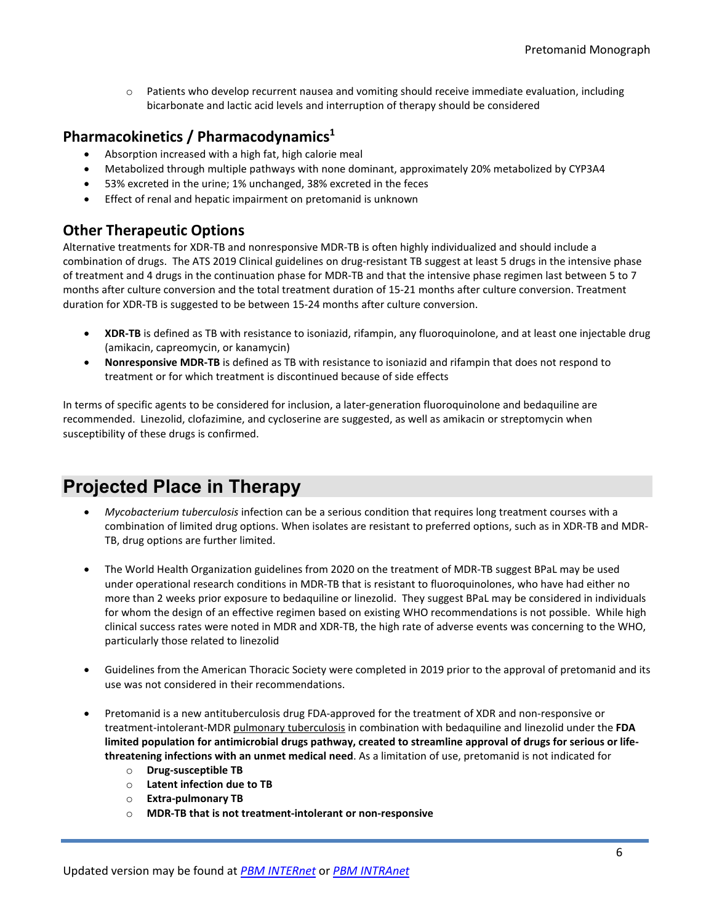o Patients who develop recurrent nausea and vomiting should receive immediate evaluation, including bicarbonate and lactic acid levels and interruption of therapy should be considered

#### **Pharmacokinetics / Pharmacodynamics1**

- Absorption increased with a high fat, high calorie meal
- Metabolized through multiple pathways with none dominant, approximately 20% metabolized by CYP3A4
- 53% excreted in the urine; 1% unchanged, 38% excreted in the feces
- Effect of renal and hepatic impairment on pretomanid is unknown

#### **Other Therapeutic Options**

Alternative treatments for XDR-TB and nonresponsive MDR-TB is often highly individualized and should include a combination of drugs. The ATS 2019 Clinical guidelines on drug-resistant TB suggest at least 5 drugs in the intensive phase of treatment and 4 drugs in the continuation phase for MDR-TB and that the intensive phase regimen last between 5 to 7 months after culture conversion and the total treatment duration of 15-21 months after culture conversion. Treatment duration for XDR-TB is suggested to be between 15-24 months after culture conversion.

- **XDR-TB** is defined as TB with resistance to isoniazid, rifampin, any fluoroquinolone, and at least one injectable drug (amikacin, capreomycin, or kanamycin)
- **Nonresponsive MDR-TB** is defined as TB with resistance to isoniazid and rifampin that does not respond to treatment or for which treatment is discontinued because of side effects

In terms of specific agents to be considered for inclusion, a later-generation fluoroquinolone and bedaquiline are recommended. Linezolid, clofazimine, and cycloserine are suggested, as well as amikacin or streptomycin when susceptibility of these drugs is confirmed.

## **Projected Place in Therapy**

- *Mycobacterium tuberculosis* infection can be a serious condition that requires long treatment courses with a combination of limited drug options. When isolates are resistant to preferred options, such as in XDR-TB and MDR-TB, drug options are further limited.
- The World Health Organization guidelines from 2020 on the treatment of MDR-TB suggest BPaL may be used under operational research conditions in MDR-TB that is resistant to fluoroquinolones, who have had either no more than 2 weeks prior exposure to bedaquiline or linezolid. They suggest BPaL may be considered in individuals for whom the design of an effective regimen based on existing WHO recommendations is not possible. While high clinical success rates were noted in MDR and XDR-TB, the high rate of adverse events was concerning to the WHO, particularly those related to linezolid
- Guidelines from the American Thoracic Society were completed in 2019 prior to the approval of pretomanid and its use was not considered in their recommendations.
- Pretomanid is a new antituberculosis drug FDA-approved for the treatment of XDR and non-responsive or treatment-intolerant-MDR pulmonary tuberculosis in combination with bedaquiline and linezolid under the **FDA limited population for antimicrobial drugs pathway, created to streamline approval of drugs for serious or lifethreatening infections with an unmet medical need**. As a limitation of use, pretomanid is not indicated for
	- o **Drug-susceptible TB**
	- o **Latent infection due to TB**
	- o **Extra-pulmonary TB**
	- o **MDR-TB that is not treatment-intolerant or non-responsive**